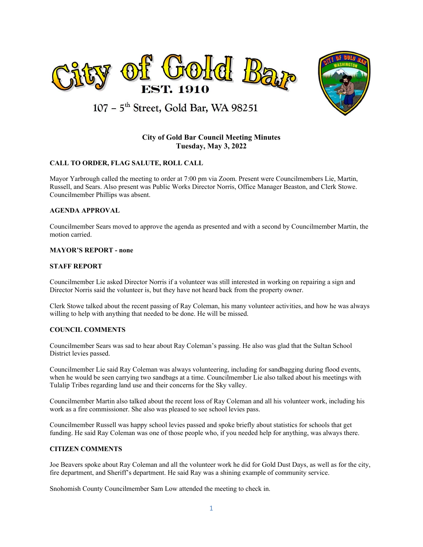



107 - 5<sup>th</sup> Street, Gold Bar, WA 98251

# **City of Gold Bar Council Meeting Minutes Tuesday, May 3, 2022**

# **CALL TO ORDER, FLAG SALUTE, ROLL CALL**

Mayor Yarbrough called the meeting to order at 7:00 pm via Zoom. Present were Councilmembers Lie, Martin, Russell, and Sears. Also present was Public Works Director Norris, Office Manager Beaston, and Clerk Stowe. Councilmember Phillips was absent.

#### **AGENDA APPROVAL**

Councilmember Sears moved to approve the agenda as presented and with a second by Councilmember Martin, the motion carried.

#### **MAYOR'S REPORT - none**

#### **STAFF REPORT**

Councilmember Lie asked Director Norris if a volunteer was still interested in working on repairing a sign and Director Norris said the volunteer is, but they have not heard back from the property owner.

Clerk Stowe talked about the recent passing of Ray Coleman, his many volunteer activities, and how he was always willing to help with anything that needed to be done. He will be missed.

#### **COUNCIL COMMENTS**

Councilmember Sears was sad to hear about Ray Coleman's passing. He also was glad that the Sultan School District levies passed.

Councilmember Lie said Ray Coleman was always volunteering, including for sandbagging during flood events, when he would be seen carrying two sandbags at a time. Councilmember Lie also talked about his meetings with Tulalip Tribes regarding land use and their concerns for the Sky valley.

Councilmember Martin also talked about the recent loss of Ray Coleman and all his volunteer work, including his work as a fire commissioner. She also was pleased to see school levies pass.

Councilmember Russell was happy school levies passed and spoke briefly about statistics for schools that get funding. He said Ray Coleman was one of those people who, if you needed help for anything, was always there.

#### **CITIZEN COMMENTS**

Joe Beavers spoke about Ray Coleman and all the volunteer work he did for Gold Dust Days, as well as for the city, fire department, and Sheriff's department. He said Ray was a shining example of community service.

Snohomish County Councilmember Sam Low attended the meeting to check in.